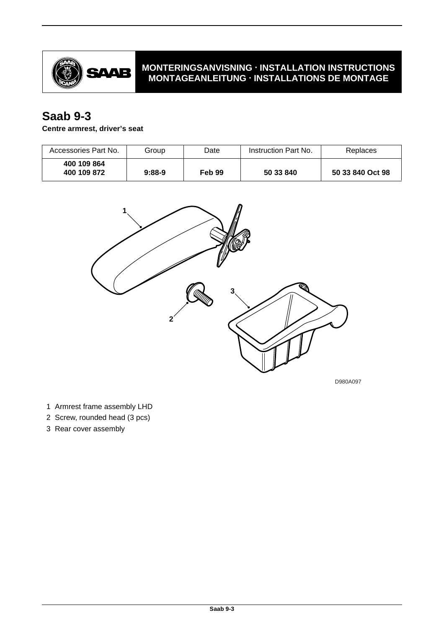

# **MONTERINGSANVISNING · INSTALLATION INSTRUCTIONS MONTAGEANLEITUNG · INSTALLATIONS DE MONTAGE**

# **Saab 9-3**

## **Centre armrest, driver's seat**

| Accessories Part No.       | Group    | Date   | Instruction Part No. | Replaces         |
|----------------------------|----------|--------|----------------------|------------------|
| 400 109 864<br>400 109 872 | $9:88-9$ | Feb 99 | 50 33 840            | 50 33 840 Oct 98 |



D980A097

- 1 Armrest frame assembly LHD
- 2 Screw, rounded head (3 pcs)
- 3 Rear cover assembly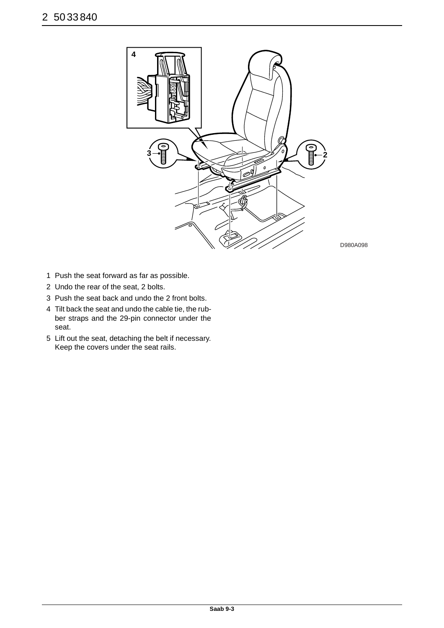

- 1 Push the seat forward as far as possible.
- 2 Undo the rear of the seat, 2 bolts.
- 3 Push the seat back and undo the 2 front bolts.
- 4 Tilt back the seat and undo the cable tie, the rubber straps and the 29-pin connector under the seat.
- 5 Lift out the seat, detaching the belt if necessary. Keep the covers under the seat rails.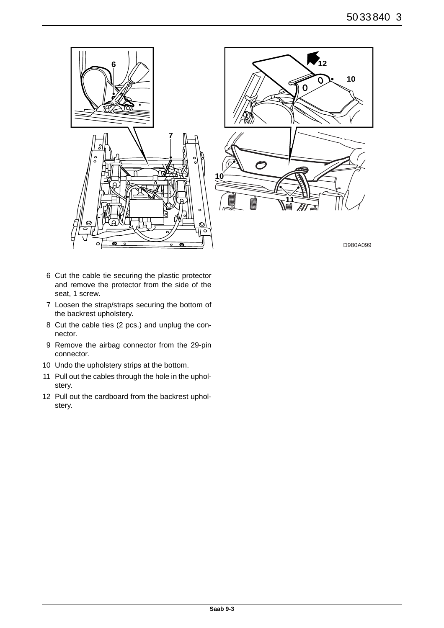

- 6 Cut the cable tie securing the plastic protector and remove the protector from the side of the seat, 1 screw.
- 7 Loosen the strap/straps securing the bottom of the backrest upholstery.
- 8 Cut the cable ties (2 pcs.) and unplug the connector.
- 9 Remove the airbag connector from the 29-pin connector.
- 10 Undo the upholstery strips at the bottom.
- 11 Pull out the cables through the hole in the upholstery.
- 12 Pull out the cardboard from the backrest upholstery.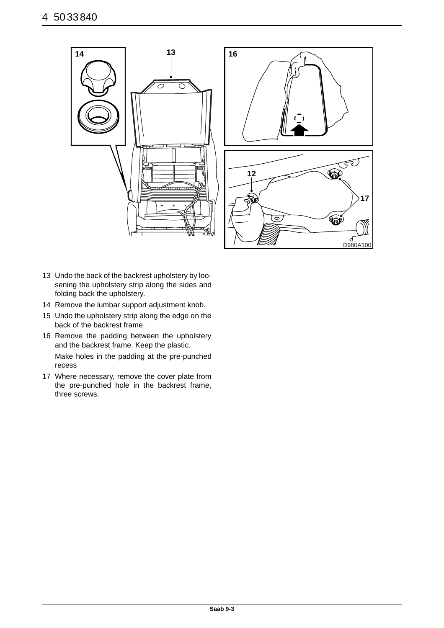

- 13 Undo the back of the backrest upholstery by loosening the upholstery strip along the sides and folding back the upholstery.
- 14 Remove the lumbar support adjustment knob.
- 15 Undo the upholstery strip along the edge on the back of the backrest frame.
- 16 Remove the padding between the upholstery and the backrest frame. Keep the plastic. Make holes in the padding at the pre-punched recess
- 17 Where necessary, remove the cover plate from the pre-punched hole in the backrest frame, three screws.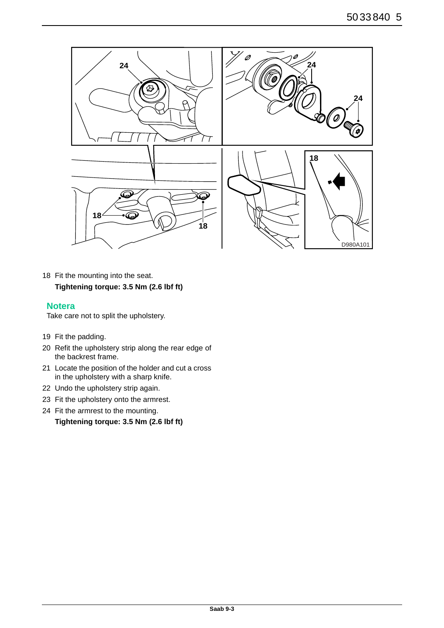

18 Fit the mounting into the seat. **Tightening torque: 3.5 Nm (2.6 lbf ft)**

#### **Notera**

Take care not to split the upholstery.

- 19 Fit the padding.
- 20 Refit the upholstery strip along the rear edge of the backrest frame.
- 21 Locate the position of the holder and cut a cross in the upholstery with a sharp knife.
- 22 Undo the upholstery strip again.
- 23 Fit the upholstery onto the armrest.
- 24 Fit the armrest to the mounting.

```
Tightening torque: 3.5 Nm (2.6 lbf ft)
```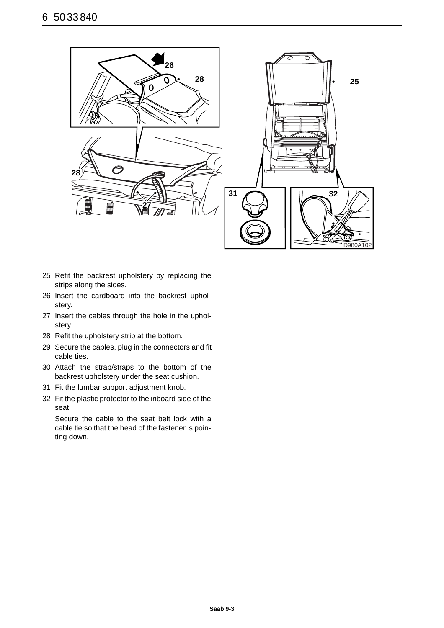

- 25 Refit the backrest upholstery by replacing the strips along the sides.
- 26 Insert the cardboard into the backrest upholstery.
- 27 Insert the cables through the hole in the upholstery.
- 28 Refit the upholstery strip at the bottom.
- 29 Secure the cables, plug in the connectors and fit cable ties.
- 30 Attach the strap/straps to the bottom of the backrest upholstery under the seat cushion.
- 31 Fit the lumbar support adjustment knob.
- 32 Fit the plastic protector to the inboard side of the seat.

Secure the cable to the seat belt lock with a cable tie so that the head of the fastener is pointing down.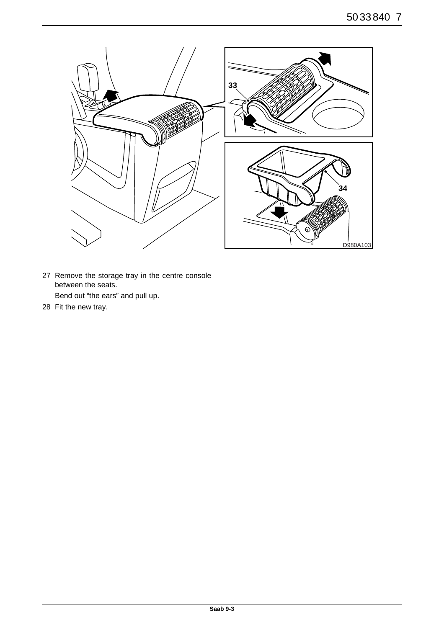

- 27 Remove the storage tray in the centre console between the seats. Bend out "the ears" and pull up.
- 28 Fit the new tray.